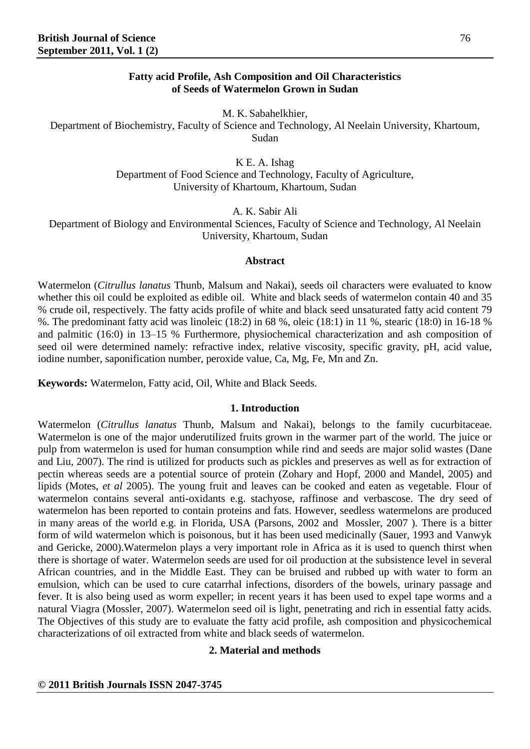## **Fatty acid Profile, Ash Composition and Oil Characteristics of Seeds of Watermelon Grown in Sudan**

M. K. Sabahelkhier,

Department of Biochemistry, Faculty of Science and Technology, Al Neelain University, Khartoum, Sudan

K E. A. Ishag

Department of Food Science and Technology, Faculty of Agriculture, University of Khartoum, Khartoum, Sudan

A. K. Sabir Ali

Department of Biology and Environmental Sciences, Faculty of Science and Technology, Al Neelain University, Khartoum, Sudan

## **Abstract**

Watermelon (*Citrullus lanatus* Thunb, Malsum and Nakai), seeds oil characters were evaluated to know whether this oil could be exploited as edible oil. White and black seeds of watermelon contain 40 and 35 % crude oil, respectively. The fatty acids profile of white and black seed unsaturated fatty acid content 79 %. The predominant fatty acid was linoleic (18:2) in 68 %, oleic (18:1) in 11 %, stearic (18:0) in 16-18 % and palmitic (16:0) in 13–15 % Furthermore, physiochemical characterization and ash composition of seed oil were determined namely: refractive index, relative viscosity, specific gravity, pH, acid value, iodine number, saponification number, peroxide value, Ca, Mg, Fe, Mn and Zn.

**Keywords:** Watermelon, Fatty acid, Oil, White and Black Seeds.

### **1. Introduction**

Watermelon (*Citrullus lanatus* Thunb, Malsum and Nakai), belongs to the family cucurbitaceae. Watermelon is one of the major underutilized fruits grown in the warmer part of the world. The juice or pulp from watermelon is used for human consumption while rind and seeds are major solid wastes (Dane and Liu, 2007). The rind is utilized for products such as pickles and preserves as well as for extraction of pectin whereas seeds are a potential source of protein (Zohary and Hopf, 2000 and Mandel, 2005) and lipids (Motes, *et al* 2005). The young fruit and leaves can be cooked and eaten as vegetable. Flour of watermelon contains several anti-oxidants e.g. stachyose, raffinose and verbascose. The dry seed of watermelon has been reported to contain proteins and fats. However, seedless watermelons are produced in many areas of the world e.g. in Florida, USA (Parsons, 2002 and Mossler, 2007 ). There is a bitter form of wild watermelon which is poisonous, but it has been used medicinally (Sauer, 1993 and Vanwyk and Gericke, 2000).Watermelon plays a very important role in Africa as it is used to quench thirst when there is shortage of water. Watermelon seeds are used for oil production at the subsistence level in several African countries, and in the Middle East. They can be bruised and rubbed up with water to form an emulsion, which can be used to cure catarrhal infections, disorders of the bowels, urinary passage and fever. It is also being used as worm expeller; in recent years it has been used to expel tape worms and a natural Viagra (Mossler, 2007). Watermelon seed oil is light, penetrating and rich in essential fatty acids. The Objectives of this study are to evaluate the fatty acid profile, ash composition and physicochemical characterizations of oil extracted from white and black seeds of watermelon.

# **2. Material and methods**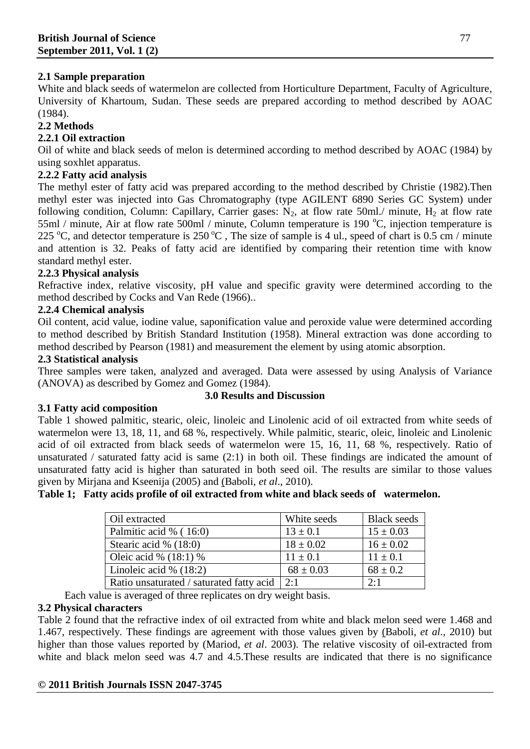# **2.1 Sample preparation**

White and black seeds of watermelon are collected from Horticulture Department, Faculty of Agriculture, University of Khartoum, Sudan. These seeds are prepared according to method described by AOAC (1984).

# **2.2 Methods**

# **2.2.1 Oil extraction**

Oil of white and black seeds of melon is determined according to method described by AOAC (1984) by using soxhlet apparatus.

# **2.2.2 Fatty acid analysis**

The methyl ester of fatty acid was prepared according to the method described by Christie (1982).Then methyl ester was injected into Gas Chromatography (type AGILENT 6890 Series GC System) under following condition, Column: Capillary, Carrier gases:  $N_2$ , at flow rate 50ml./ minute,  $H_2$  at flow rate 55ml / minute, Air at flow rate 500ml / minute, Column temperature is 190  $^{\circ}$ C, injection temperature is 225 °C, and detector temperature is  $250\,^{\circ}\text{C}$ , The size of sample is 4 ul., speed of chart is 0.5 cm / minute and attention is 32. Peaks of fatty acid are identified by comparing their retention time with know standard methyl ester.

# **2.2.3 Physical analysis**

Refractive index, relative viscosity, pH value and specific gravity were determined according to the method described by Cocks and Van Rede (1966)..

## **2.2.4 Chemical analysis**

Oil content, acid value, iodine value, saponification value and peroxide value were determined according to method described by British Standard Institution (1958). Mineral extraction was done according to method described by Pearson (1981) and measurement the element by using atomic absorption.

# **2.3 Statistical analysis**

Three samples were taken, analyzed and averaged. Data were assessed by using Analysis of Variance (ANOVA) as described by Gomez and Gomez (1984).

# **3.1 Fatty acid composition**

# **3.0 Results and Discussion**

Table 1 showed palmitic, stearic, oleic, linoleic and Linolenic acid of oil extracted from white seeds of watermelon were 13, 18, 11, and 68 %, respectively. While palmitic, stearic, oleic, linoleic and Linolenic acid of oil extracted from black seeds of watermelon were 15, 16, 11, 68 %, respectively. Ratio of unsaturated / saturated fatty acid is same (2:1) in both oil. These findings are indicated the amount of unsaturated fatty acid is higher than saturated in both seed oil. The results are similar to those values given by Mirjana and Kseenija (2005) and [\(Baboli,](http://findarticles.com/p/search/?qa=Baboli,%20Zahra%20Moaddabdoost) *et al*., 2010).

## **Table 1; Fatty acids profile of oil extracted from white and black seeds of watermelon.**

| Oil extracted                            | White seeds   | <b>Black seeds</b> |
|------------------------------------------|---------------|--------------------|
| Palmitic acid % (16:0)                   | $13 \pm 0.1$  | $15 \pm 0.03$      |
| Stearic acid % (18:0)                    | $18 \pm 0.02$ | $16 \pm 0.02$      |
| Oleic acid % $(18.1)$ %                  | $11 \pm 0.1$  | $11 \pm 0.1$       |
| Linoleic acid % $(18:2)$                 | $68 \pm 0.03$ | $68 \pm 0.2$       |
| Ratio unsaturated / saturated fatty acid | 2:1           | 2.1                |

Each value is averaged of three replicates on dry weight basis.

## **3.2 Physical characters**

Table 2 found that the refractive index of oil extracted from white and black melon seed were 1.468 and 1.467, respectively. These findings are agreement with those values given by [\(Baboli,](http://findarticles.com/p/search/?qa=Baboli,%20Zahra%20Moaddabdoost) *et al*., 2010) but higher than those values reported by (Mariod, *et al*. 2003). The relative viscosity of oil-extracted from white and black melon seed was 4.7 and 4.5. These results are indicated that there is no significance

## **© 2011 British Journals ISSN 2047-3745**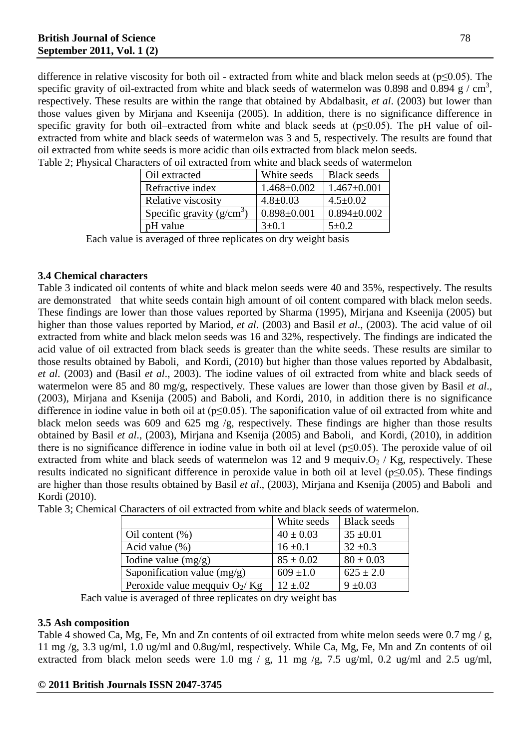difference in relative viscosity for both oil - extracted from white and black melon seeds at (p≤0.05). The specific gravity of oil-extracted from white and black seeds of watermelon was 0.898 and 0.894 g  $/$  cm<sup>3</sup>, respectively. These results are within the range that obtained by Abdalbasit, *et al*. (2003) but lower than those values given by Mirjana and Kseenija (2005). In addition, there is no significance difference in specific gravity for both oil–extracted from white and black seeds at  $(p \le 0.05)$ . The pH value of oilextracted from white and black seeds of watermelon was 3 and 5, respectively. The results are found that oil extracted from white seeds is more acidic than oils extracted from black melon seeds.

| Oil extracted              | White seeds       | <b>Black seeds</b> |
|----------------------------|-------------------|--------------------|
| Refractive index           | $1.468 \pm 0.002$ | $1.467 \pm 0.001$  |
| Relative viscosity         | $4.8 \pm 0.03$    | $4.5 \pm 0.02$     |
| Specific gravity $(g/cm3)$ | $0.898 \pm 0.001$ | $0.894 \pm 0.002$  |
| pH value                   | $3+0.1$           | $5+0.2$            |

Table 2; Physical Characters of oil extracted from white and black seeds of watermelon

Each value is averaged of three replicates on dry weight basis

### **3.4 Chemical characters**

Table 3 indicated oil contents of white and black melon seeds were 40 and 35%, respectively. The results are demonstrated that white seeds contain high amount of oil content compared with black melon seeds. These findings are lower than those values reported by Sharma (1995), Mirjana and Kseenija (2005) but higher than those values reported by Mariod, *et al*. (2003) and Basil *et al*., (2003). The acid value of oil extracted from white and black melon seeds was 16 and 32%, respectively. The findings are indicated the acid value of oil extracted from black seeds is greater than the white seeds. These results are similar to those results obtained by [Baboli,](http://findarticles.com/p/search/?qa=Baboli,%20Zahra%20Moaddabdoost) and Kordi, (2010) but higher than those values reported by Abdalbasit, *et al*. (2003) and (Basil *et al*., 2003). The iodine values of oil extracted from white and black seeds of watermelon were 85 and 80 mg/g, respectively. These values are lower than those given by Basil *et al*., (2003), Mirjana and Ksenija (2005) and [Baboli, a](http://findarticles.com/p/search/?qa=Baboli,%20Zahra%20Moaddabdoost)nd Kordi, 2010, in addition there is no significance difference in iodine value in both oil at (p≤0.05). The saponification value of oil extracted from white and black melon seeds was 609 and 625 mg /g, respectively. These findings are higher than those results obtained by Basil *et al*., (2003), Mirjana and Ksenija (2005) and [Baboli,](http://findarticles.com/p/search/?qa=Baboli,%20Zahra%20Moaddabdoost) and Kordi, (2010), in addition there is no significance difference in iodine value in both oil at level ( $p \le 0.05$ ). The peroxide value of oil extracted from white and black seeds of watermelon was 12 and 9 mequiv. $O_2$  / Kg, respectively. These results indicated no significant difference in peroxide value in both oil at level (p≤0.05). These findings are higher than those results obtained by Basil *et al*., (2003), Mirjana and Ksenija (2005) and [Baboli](http://findarticles.com/p/search/?qa=Baboli,%20Zahra%20Moaddabdoost) and Kordi (2010).

|                                 | White seeds   | <b>Black</b> seeds |
|---------------------------------|---------------|--------------------|
| Oil content $(\%)$              | $40 \pm 0.03$ | $35 \pm 0.01$      |
| Acid value $(\%)$               | $16 \pm 0.1$  | $32 \pm 0.3$       |
| Iodine value $(mg/g)$           | $85 \pm 0.02$ | $80 \pm 0.03$      |
| Saponification value $(mg/g)$   | $609 \pm 1.0$ | $625 \pm 2.0$      |
| Peroxide value meqquiv $O_2/Kg$ | $12 \pm .02$  | $9 \pm 0.03$       |

Table 3; Chemical Characters of oil extracted from white and black seeds of watermelon.

Each value is averaged of three replicates on dry weight bas

### **3.5 Ash composition**

Table 4 showed Ca, Mg, Fe, Mn and Zn contents of oil extracted from white melon seeds were 0.7 mg / g, 11 mg /g, 3.3 ug/ml, 1.0 ug/ml and 0.8ug/ml, respectively. While Ca, Mg, Fe, Mn and Zn contents of oil extracted from black melon seeds were 1.0 mg / g, 11 mg /g, 7.5 ug/ml, 0.2 ug/ml and 2.5 ug/ml,

## **© 2011 British Journals ISSN 2047-3745**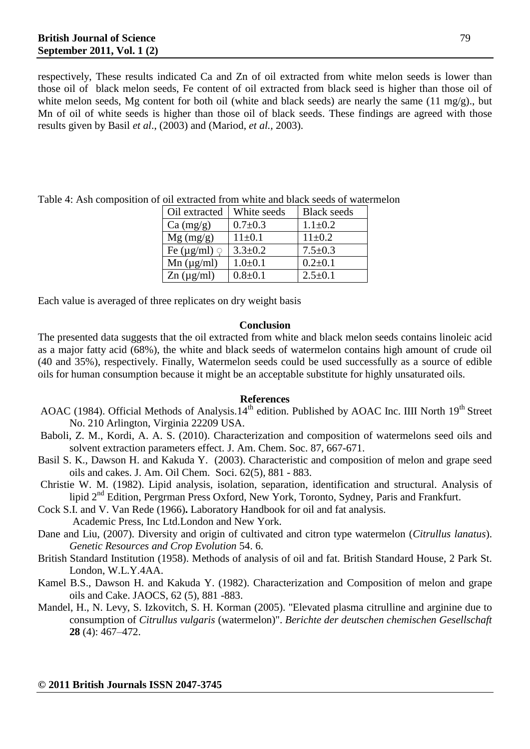respectively, These results indicated Ca and Zn of oil extracted from white melon seeds is lower than those oil of black melon seeds, Fe content of oil extracted from black seed is higher than those oil of white melon seeds, Mg content for both oil (white and black seeds) are nearly the same (11 mg/g)., but Mn of oil of white seeds is higher than those oil of black seeds. These findings are agreed with those results given by Basil *et al*., (2003) and (Mariod, *et al.,* 2003).

| Oil extracted            | White seeds   | <b>Black seeds</b> |
|--------------------------|---------------|--------------------|
| Ca (mg/g)                | $0.7 \pm 0.3$ | $1.1 \pm 0.2$      |
| $Mg$ (mg/g)              | $11 \pm 0.1$  | $11 \pm 0.2$       |
| Fe ( $\mu$ g/ml) $\circ$ | $3.3 \pm 0.2$ | $7.5 \pm 0.3$      |
| Mn (µg/ml)               | $1.0+0.1$     | $0.2 + 0.1$        |
| $Zn (\mu g/ml)$          | $0.8 + 0.1$   | $2.5 \pm 0.1$      |

Table 4: Ash composition of oil extracted from white and black seeds of watermelon

Each value is averaged of three replicates on dry weight basis

### **Conclusion**

The presented data suggests that the oil extracted from white and black melon seeds contains linoleic acid as a major fatty acid (68%), the white and black seeds of watermelon contains high amount of crude oil (40 and 35%), respectively. Finally, Watermelon seeds could be used successfully as a source of edible oils for human consumption because it might be an acceptable substitute for highly unsaturated oils.

#### **References**

- AOAC (1984). Official Methods of Analysis.14<sup>th</sup> edition. Published by AOAC Inc. IIII North 19<sup>th</sup> Street No. 210 Arlington, Virginia 22209 USA.
- [Baboli, Z. M.,](http://findarticles.com/p/search/?qa=Baboli,%20Zahra%20Moaddabdoost) [Kordi, A. A. S.](http://findarticles.com/p/search/?qa=Kordi,%20Ali%20Akbar%20Safe) (2010). Characterization and composition of watermelons seed oils and solvent extraction parameters effect. J. Am. Chem. Soc. 87, 667-671.
- Basil S. K., Dawson H. and Kakuda Y. (2003). Characteristic and composition of melon and grape seed oils and cakes. J. Am. Oil Chem. Soci. 62(5), 881 - 883.
- Christie W. M. (1982). Lipid analysis, isolation, separation, identification and structural. Analysis of lipid 2<sup>nd</sup> Edition, Pergrman Press Oxford, New York, Toronto, Sydney, Paris and Frankfurt.
- Cock S.I. and V. Van Rede (1966)**.** Laboratory Handbook for oil and fat analysis.
	- Academic Press, Inc Ltd.London and New York.
- Dane and Liu, (2007). Diversity and origin of cultivated and citron type watermelon (*Citrullus lanatus*). *Genetic Resources and Crop Evolution* 54. 6.
- British Standard Institution (1958). Methods of analysis of oil and fat. British Standard House, 2 Park St. London, W.L.Y.4AA.
- Kamel B.S., Dawson H. and Kakuda Y. (1982). Characterization and Composition of melon and grape oils and Cake. JAOCS, 62 (5), 881 -883.
- Mandel, H., N. Levy, S. Izkovitch, S. H. Korman (2005). "Elevated plasma citrulline and arginine due to consumption of *Citrullus vulgaris* (watermelon)". *Berichte der deutschen chemischen Gesellschaft* **28** (4): 467–472.